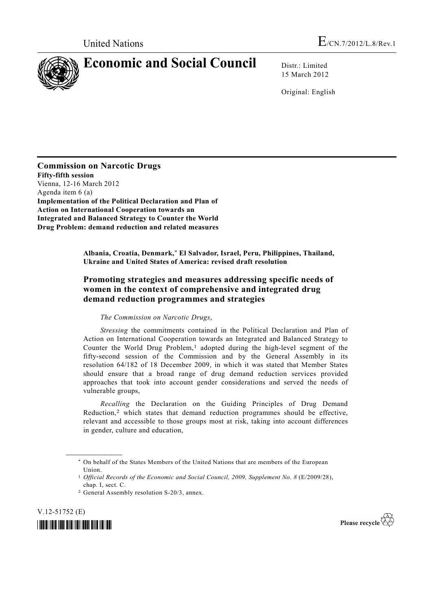

15 March 2012

Original: English

**Commission on Narcotic Drugs Fifty-fifth session**  Vienna, 12-16 March 2012 Agenda item 6 (a) **Implementation of the Political Declaration and Plan of Action on International Cooperation towards an Integrated and Balanced Strategy to Counter the World Drug Problem: demand reduction and related measures** 

> **Albania, Croatia, Denmark,\* El Salvador, Israel, Peru, Philippines, Thailand, Ukraine and United States of America: revised draft resolution**

## **Promoting strategies and measures addressing specific needs of women in the context of comprehensive and integrated drug demand reduction programmes and strategies**

## *The Commission on Narcotic Drugs*,

*Stressing* the commitments contained in the Political Declaration and Plan of Action on International Cooperation towards an Integrated and Balanced Strategy to Counter the World Drug Problem,<sup>1</sup> adopted during the high-level segment of the fifty-second session of the Commission and by the General Assembly in its resolution 64/182 of 18 December 2009, in which it was stated that Member States should ensure that a broad range of drug demand reduction services provided approaches that took into account gender considerations and served the needs of vulnerable groups,

*Recalling* the Declaration on the Guiding Principles of Drug Demand Reduction,2 which states that demand reduction programmes should be effective, relevant and accessible to those groups most at risk, taking into account differences in gender, culture and education,

V.12-51752 (E)





 <sup>\*</sup> On behalf of the States Members of the United Nations that are members of the European Union.

<sup>1</sup> *Official Records of the Economic and Social Council, 2009, Supplement No. 8* (E/2009/28), chap. I, sect. C.

<sup>2</sup> General Assembly resolution S-20/3, annex.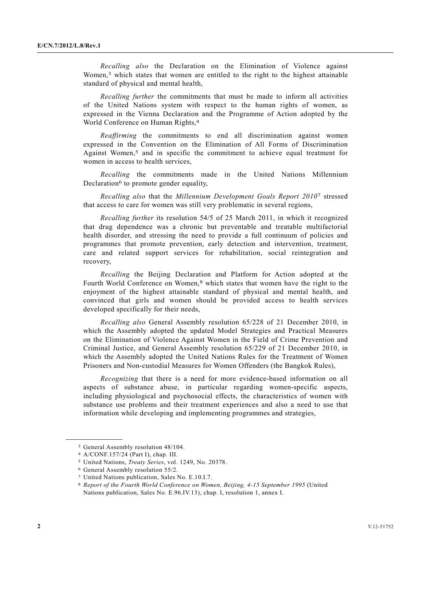*Recalling also* the Declaration on the Elimination of Violence against Women,<sup>3</sup> which states that women are entitled to the right to the highest attainable standard of physical and mental health,

*Recalling further* the commitments that must be made to inform all activities of the United Nations system with respect to the human rights of women, as expressed in the Vienna Declaration and the Programme of Action adopted by the World Conference on Human Rights,4

*Reaffirming* the commitments to end all discrimination against women expressed in the Convention on the Elimination of All Forms of Discrimination Against Women,5 and in specific the commitment to achieve equal treatment for women in access to health services,

*Recalling* the commitments made in the United Nations Millennium Declaration<sup>6</sup> to promote gender equality,

*Recalling also* that the *Millennium Development Goals Report 2010*7 stressed that access to care for women was still very problematic in several regions,

*Recalling further* its resolution 54/5 of 25 March 2011, in which it recognized that drug dependence was a chronic but preventable and treatable multifactorial health disorder, and stressing the need to provide a full continuum of policies and programmes that promote prevention, early detection and intervention, treatment, care and related support services for rehabilitation, social reintegration and recovery,

*Recalling* the Beijing Declaration and Platform for Action adopted at the Fourth World Conference on Women,<sup>8</sup> which states that women have the right to the enjoyment of the highest attainable standard of physical and mental health, and convinced that girls and women should be provided access to health services developed specifically for their needs,

*Recalling also* General Assembly resolution 65/228 of 21 December 2010, in which the Assembly adopted the updated Model Strategies and Practical Measures on the Elimination of Violence Against Women in the Field of Crime Prevention and Criminal Justice, and General Assembly resolution 65/229 of 21 December 2010, in which the Assembly adopted the United Nations Rules for the Treatment of Women Prisoners and Non-custodial Measures for Women Offenders (the Bangkok Rules),

*Recognizing* that there is a need for more evidence-based information on all aspects of substance abuse, in particular regarding women-specific aspects, including physiological and psychosocial effects, the characteristics of women with substance use problems and their treatment experiences and also a need to use that information while developing and implementing programmes and strategies,

<sup>3</sup> General Assembly resolution 48/104.

<sup>4</sup> A/CONF.157/24 (Part I), chap. III.

<sup>5</sup> United Nations, *Treaty Series*, vol. 1249, No. 20378.

<sup>6</sup> General Assembly resolution 55/2.

<sup>7</sup> United Nations publication, Sales No. E.10.I.7.

<sup>8</sup> *Report of the Fourth World Conference on Women, Beijing, 4-15 September 1995* (United Nations publication, Sales No. E.96.IV.13), chap. I, resolution 1, annex I.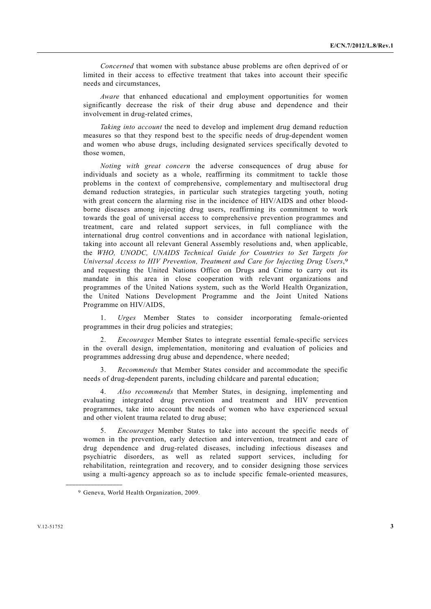*Concerned* that women with substance abuse problems are often deprived of or limited in their access to effective treatment that takes into account their specific needs and circumstances,

*Aware* that enhanced educational and employment opportunities for women significantly decrease the risk of their drug abuse and dependence and their involvement in drug-related crimes,

*Taking into account* the need to develop and implement drug demand reduction measures so that they respond best to the specific needs of drug-dependent women and women who abuse drugs, including designated services specifically devoted to those women,

*Noting with great concern* the adverse consequences of drug abuse for individuals and society as a whole, reaffirming its commitment to tackle those problems in the context of comprehensive, complementary and multisectoral drug demand reduction strategies, in particular such strategies targeting youth, noting with great concern the alarming rise in the incidence of HIV/AIDS and other bloodborne diseases among injecting drug users, reaffirming its commitment to work towards the goal of universal access to comprehensive prevention programmes and treatment, care and related support services, in full compliance with the international drug control conventions and in accordance with national legislation, taking into account all relevant General Assembly resolutions and, when applicable, the *WHO, UNODC, UNAIDS Technical Guide for Countries to Set Targets for Universal Access to HIV Prevention, Treatment and Care for Injecting Drug Users*,9 and requesting the United Nations Office on Drugs and Crime to carry out its mandate in this area in close cooperation with relevant organizations and programmes of the United Nations system, such as the World Health Organization, the United Nations Development Programme and the Joint United Nations Programme on HIV/AIDS,

 1. *Urges* Member States to consider incorporating female-oriented programmes in their drug policies and strategies;

 2. *Encourages* Member States to integrate essential female-specific services in the overall design, implementation, monitoring and evaluation of policies and programmes addressing drug abuse and dependence, where needed;

 3. *Recommends* that Member States consider and accommodate the specific needs of drug-dependent parents, including childcare and parental education;

 4. *Also recommends* that Member States, in designing, implementing and evaluating integrated drug prevention and treatment and HIV prevention programmes, take into account the needs of women who have experienced sexual and other violent trauma related to drug abuse;

 5. *Encourages* Member States to take into account the specific needs of women in the prevention, early detection and intervention, treatment and care of drug dependence and drug-related diseases, including infectious diseases and psychiatric disorders, as well as related support services, including for rehabilitation, reintegration and recovery, and to consider designing those services using a multi-agency approach so as to include specific female-oriented measures,

<sup>9</sup> Geneva, World Health Organization, 2009.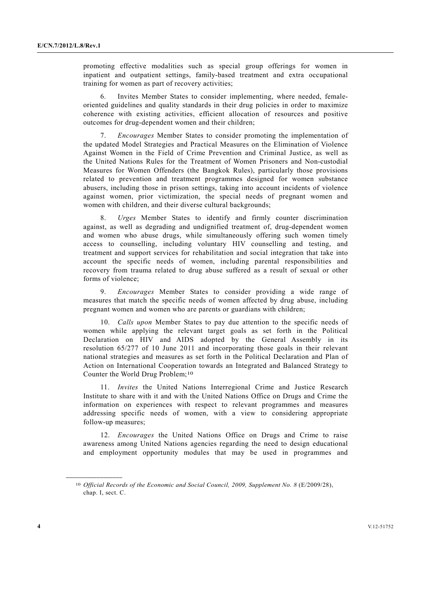promoting effective modalities such as special group offerings for women in inpatient and outpatient settings, family-based treatment and extra occupational training for women as part of recovery activities;

Invites Member States to consider implementing, where needed, femaleoriented guidelines and quality standards in their drug policies in order to maximize coherence with existing activities, efficient allocation of resources and positive outcomes for drug-dependent women and their children;

 7. *Encourages* Member States to consider promoting the implementation of the updated Model Strategies and Practical Measures on the Elimination of Violence Against Women in the Field of Crime Prevention and Criminal Justice, as well as the United Nations Rules for the Treatment of Women Prisoners and Non-custodial Measures for Women Offenders (the Bangkok Rules), particularly those provisions related to prevention and treatment programmes designed for women substance abusers, including those in prison settings, taking into account incidents of violence against women, prior victimization, the special needs of pregnant women and women with children, and their diverse cultural backgrounds;

 8. *Urges* Member States to identify and firmly counter discrimination against, as well as degrading and undignified treatment of, drug-dependent women and women who abuse drugs, while simultaneously offering such women timely access to counselling, including voluntary HIV counselling and testing, and treatment and support services for rehabilitation and social integration that take into account the specific needs of women, including parental responsibilities and recovery from trauma related to drug abuse suffered as a result of sexual or other forms of violence;

 9. *Encourages* Member States to consider providing a wide range of measures that match the specific needs of women affected by drug abuse, including pregnant women and women who are parents or guardians with children;

 10. *Calls upon* Member States to pay due attention to the specific needs of women while applying the relevant target goals as set forth in the Political Declaration on HIV and AIDS adopted by the General Assembly in its resolution 65/277 of 10 June 2011 and incorporating those goals in their relevant national strategies and measures as set forth in the Political Declaration and Plan of Action on International Cooperation towards an Integrated and Balanced Strategy to Counter the World Drug Problem;10

 11. *Invites* the United Nations Interregional Crime and Justice Research Institute to share with it and with the United Nations Office on Drugs and Crime the information on experiences with respect to relevant programmes and measures addressing specific needs of women, with a view to considering appropriate follow-up measures;

 12. *Encourages* the United Nations Office on Drugs and Crime to raise awareness among United Nations agencies regarding the need to design educational and employment opportunity modules that may be used in programmes and

<sup>10</sup> *Official Records of the Economic and Social Council, 2009, Supplement No. 8* (E/2009/28), chap. I, sect. C.